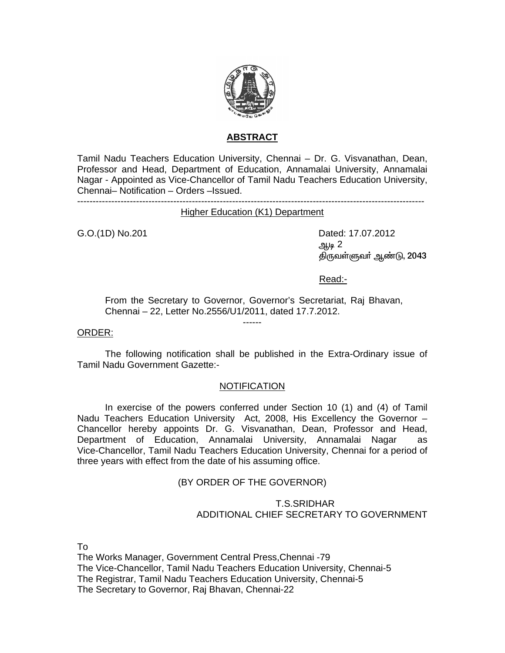

# **ABSTRACT**

Tamil Nadu Teachers Education University, Chennai – Dr. G. Visvanathan, Dean, Professor and Head, Department of Education, Annamalai University, Annamalai Nagar - Appointed as Vice-Chancellor of Tamil Nadu Teachers Education University, Chennai– Notification – Orders –Issued.

----------------------------------------------------------------------------------------------------------------

Higher Education (K1) Department

G.O.(1D) No.201 Dated: 17.07.2012  $\mathfrak{g}_{\mu\nu}$  2 ஆம் திருவள்ளுவர் ஆண்டு, 2043

Read:-

From the Secretary to Governor, Governor's Secretariat, Raj Bhavan, Chennai – 22, Letter No.2556/U1/2011, dated 17.7.2012.

------

### ORDER:

 The following notification shall be published in the Extra-Ordinary issue of Tamil Nadu Government Gazette:-

### NOTIFICATION

 In exercise of the powers conferred under Section 10 (1) and (4) of Tamil Nadu Teachers Education University Act, 2008, His Excellency the Governor – Chancellor hereby appoints Dr. G. Visvanathan, Dean, Professor and Head, Department of Education, Annamalai University, Annamalai Nagar as Vice-Chancellor, Tamil Nadu Teachers Education University, Chennai for a period of three years with effect from the date of his assuming office.

# (BY ORDER OF THE GOVERNOR)

## T.S.SRIDHAR ADDITIONAL CHIEF SECRETARY TO GOVERNMENT

To

The Works Manager, Government Central Press,Chennai -79 The Vice-Chancellor, Tamil Nadu Teachers Education University, Chennai-5 The Registrar, Tamil Nadu Teachers Education University, Chennai-5 The Secretary to Governor, Raj Bhavan, Chennai-22